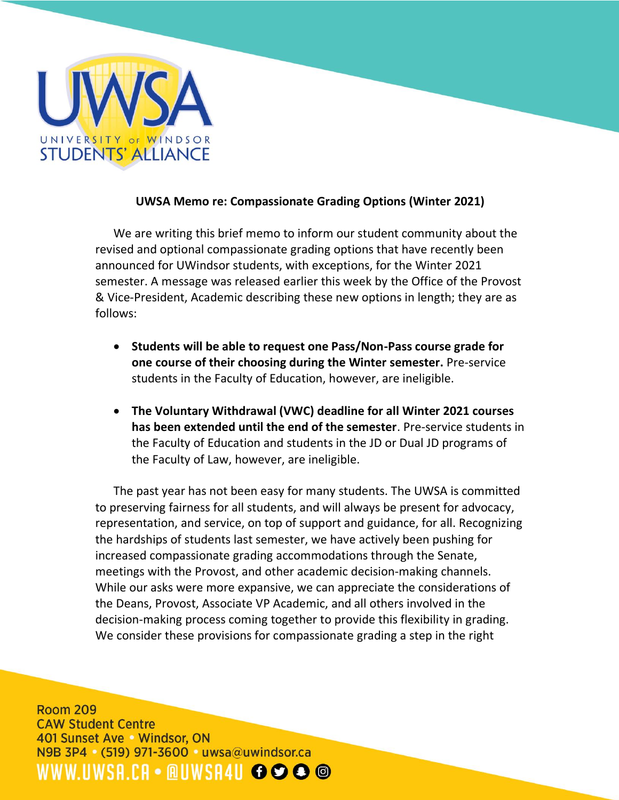

## **UWSA Memo re: Compassionate Grading Options (Winter 2021)**

We are writing this brief memo to inform our student community about the revised and optional compassionate grading options that have recently been announced for UWindsor students, with exceptions, for the Winter 2021 semester. A message was released earlier this week by the Office of the Provost & Vice-President, Academic describing these new options in length; they are as follows:

- **Students will be able to request one Pass/Non-Pass course grade for one course of their choosing during the Winter semester.** Pre-service students in the Faculty of Education, however, are ineligible.
- **The Voluntary Withdrawal (VWC) deadline for all Winter 2021 courses has been extended until the end of the semester**. Pre-service students in the Faculty of Education and students in the JD or Dual JD programs of the Faculty of Law, however, are ineligible.

The past year has not been easy for many students. The UWSA is committed to preserving fairness for all students, and will always be present for advocacy, representation, and service, on top of support and guidance, for all. Recognizing the hardships of students last semester, we have actively been pushing for increased compassionate grading accommodations through the Senate, meetings with the Provost, and other academic decision-making channels. While our asks were more expansive, we can appreciate the considerations of the Deans, Provost, Associate VP Academic, and all others involved in the decision-making process coming together to provide this flexibility in grading. We consider these provisions for compassionate grading a step in the right

**Room 209 CAW Student Centre** 401 Sunset Ave . Windsor, ON N9B 3P4 (519) 971-3600 uwsa@uwindsor.ca WWW.UWSA.CA•@UWSA4U ←99●©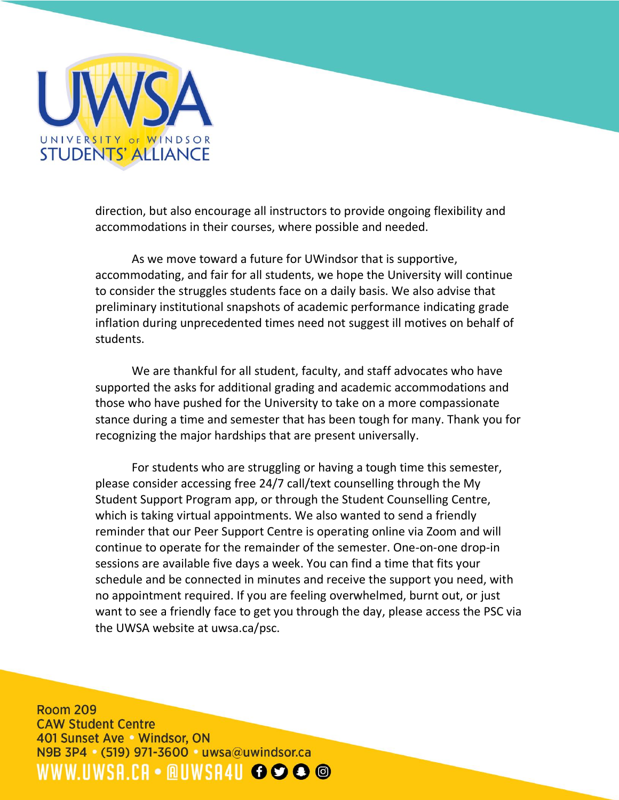

direction, but also encourage all instructors to provide ongoing flexibility and accommodations in their courses, where possible and needed.

As we move toward a future for UWindsor that is supportive, accommodating, and fair for all students, we hope the University will continue to consider the struggles students face on a daily basis. We also advise that preliminary institutional snapshots of academic performance indicating grade inflation during unprecedented times need not suggest ill motives on behalf of students.

We are thankful for all student, faculty, and staff advocates who have supported the asks for additional grading and academic accommodations and those who have pushed for the University to take on a more compassionate stance during a time and semester that has been tough for many. Thank you for recognizing the major hardships that are present universally.

For students who are struggling or having a tough time this semester, please consider accessing free 24/7 call/text counselling through the My Student Support Program app, or through the Student Counselling Centre, which is taking virtual appointments. We also wanted to send a friendly reminder that our Peer Support Centre is operating online via Zoom and will continue to operate for the remainder of the semester. One-on-one drop-in sessions are available five days a week. You can find a time that fits your schedule and be connected in minutes and receive the support you need, with no appointment required. If you are feeling overwhelmed, burnt out, or just want to see a friendly face to get you through the day, please access the PSC via the UWSA website at uwsa.ca/psc.

**Room 209 CAW Student Centre** 401 Sunset Ave · Windsor, ON N9B 3P4 (519) 971-3600 uwsa@uwindsor.ca WWW.UWSA.CA•@UWSA4U O990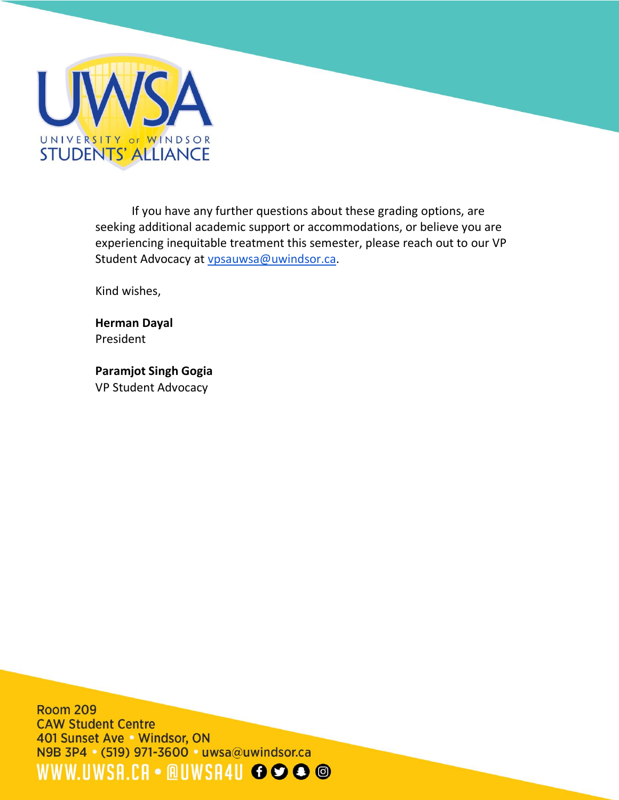

If you have any further questions about these grading options, are seeking additional academic support or accommodations, or believe you are experiencing inequitable treatment this semester, please reach out to our VP Student Advocacy at [vpsauwsa@uwindsor.ca.](mailto:vpsauwsa@uwindsor.ca)

Kind wishes,

**Herman Dayal** President

**Paramjot Singh Gogia** VP Student Advocacy

**Room 209 CAW Student Centre** 401 Sunset Ave . Windsor, ON N9B 3P4 (519) 971-3600 uwsa@uwindsor.ca WWW.UWSA.CA . @UWSA4U + 9 9 8 @